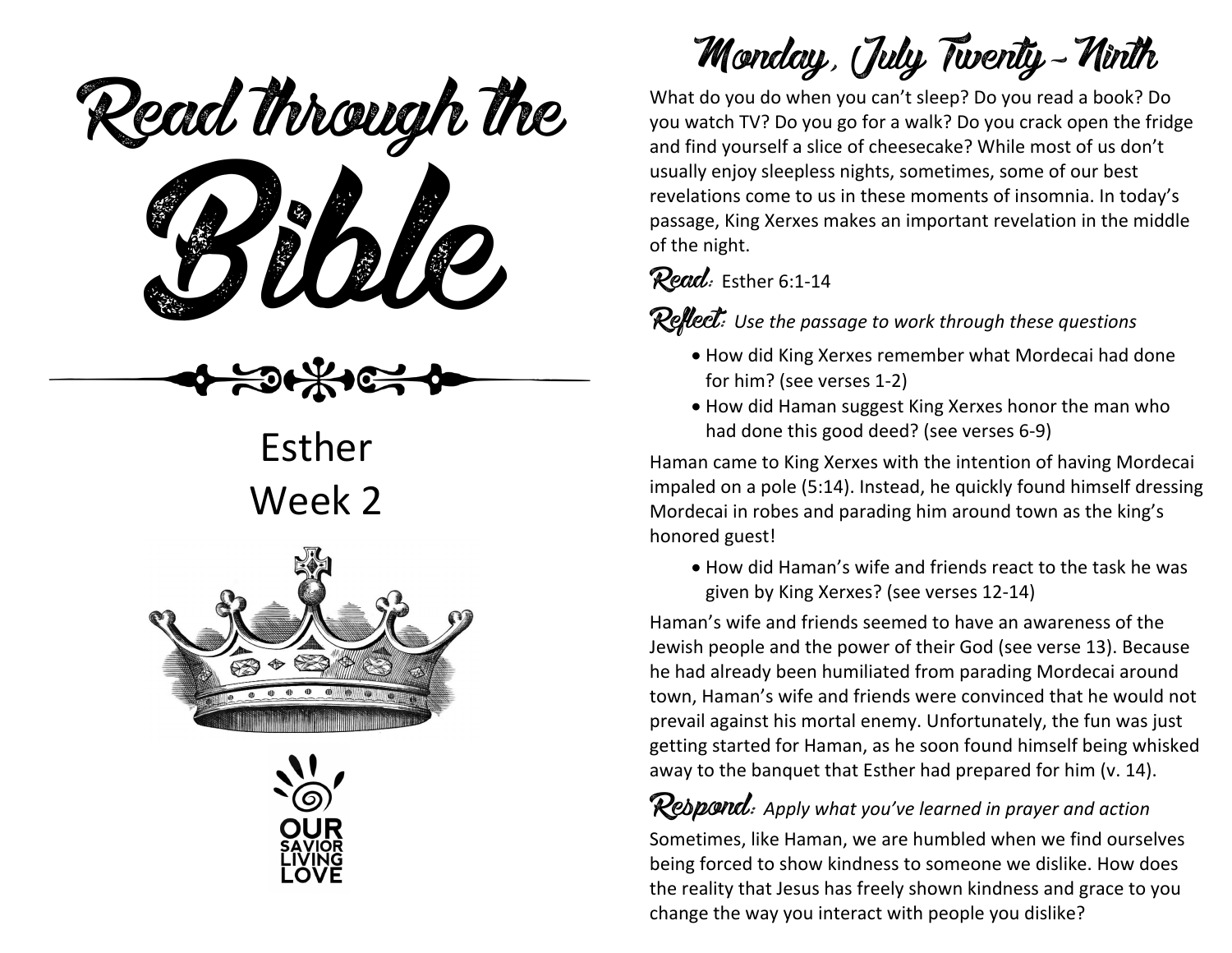Read through the

Esther Week 2





Monday, July Twenty-Ninth

What do you do when you can't sleep? Do you read a book? Do you watch TV? Do you go for a walk? Do you crack open the fridge and find yourself a slice of cheesecake? While most of us don't usually enjoy sleepless nights, sometimes, some of our best revelations come to us in these moments of insomnia. In today's passage, King Xerxes makes an important revelation in the middle of the night.

### Read: Esther 6:1-14

Reflect: *Use the passage to work through these questions*

- How did King Xerxes remember what Mordecai had done for him? (see verses 1-2)
- How did Haman suggest King Xerxes honor the man who had done this good deed? (see verses 6-9)

Haman came to King Xerxes with the intention of having Mordecai impaled on a pole (5:14). Instead, he quickly found himself dressing Mordecai in robes and parading him around town as the king's honored guest!

• How did Haman's wife and friends react to the task he was given by King Xerxes? (see verses 12-14)

Haman's wife and friends seemed to have an awareness of the Jewish people and the power of their God (see verse 13). Because he had already been humiliated from parading Mordecai around town, Haman's wife and friends were convinced that he would not prevail against his mortal enemy. Unfortunately, the fun was just getting started for Haman, as he soon found himself being whisked away to the banquet that Esther had prepared for him (v. 14).

Rebpond: Apply what you've learned in prayer and action Sometimes, like Haman, we are humbled when we find ourselves being forced to show kindness to someone we dislike. How does the reality that Jesus has freely shown kindness and grace to you change the way you interact with people you dislike?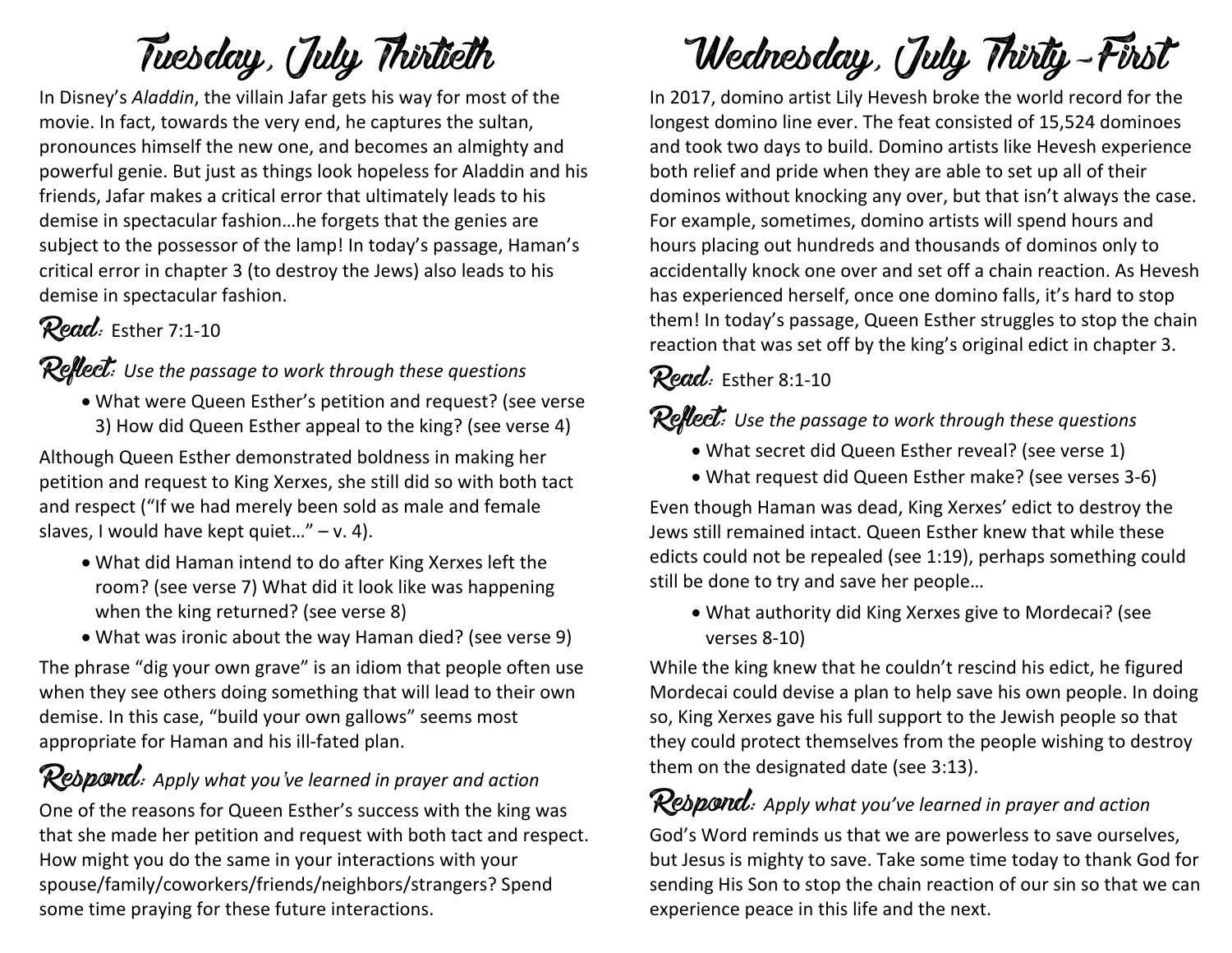# Tuesday, July Thirtieth

In Disney's *Aladdin*, the villain Jafar gets his way for most of the movie. In fact, towards the very end, he captures the sultan, pronounces himself the new one, and becomes an almighty and powerful genie. But just as things look hopeless for Aladdin and his friends, Jafar makes a critical error that ultimately leads to his demise in spectacular fashion…he forgets that the genies are subject to the possessor of the lamp! In today's passage, Haman's critical error in chapter 3 (to destroy the Jews) also leads to his demise in spectacular fashion.

### Read: Esther 7:1-10

### Reflect: *Use the passage to work through these questions*

• What were Queen Esther's petition and request? (see verse 3) How did Queen Esther appeal to the king? (see verse 4)

Although Queen Esther demonstrated boldness in making her petition and request to King Xerxes, she still did so with both tact and respect ("If we had merely been sold as male and female slaves, I would have kept quiet..."  $- v. 4$ ).

- What did Haman intend to do after King Xerxes left the room? (see verse 7) What did it look like was happening when the king returned? (see verse 8)
- What was ironic about the way Haman died? (see verse 9)

The phrase "dig your own grave" is an idiom that people often use when they see others doing something that will lead to their own demise. In this case, "build your own gallows" seems most appropriate for Haman and his ill-fated plan.

### Respond: *Apply what you've learned in prayer and action*

One of the reasons for Queen Esther's success with the king was that she made her petition and request with both tact and respect. How might you do the same in your interactions with your spouse/family/coworkers/friends/neighbors/strangers? Spend some time praying for these future interactions.

# Wednesday, July Thirty-First

In 2017, domino artist Lily Hevesh broke the world record for the longest domino line ever. The feat consisted of 15,524 dominoes and took two days to build. Domino artists like Hevesh experience both relief and pride when they are able to set up all of their dominos without knocking any over, but that isn't always the case. For example, sometimes, domino artists will spend hours and hours placing out hundreds and thousands of dominos only to accidentally knock one over and set off a chain reaction. As Hevesh has experienced herself, once one domino falls, it's hard to stop them! In today's passage, Queen Esther struggles to stop the chain reaction that was set off by the king's original edict in chapter 3.

### Read: Esther 8:1-10

### Reflect: *Use the passage to work through these questions*

- What secret did Queen Esther reveal? (see verse 1)
- What request did Queen Esther make? (see verses 3-6)

Even though Haman was dead, King Xerxes' edict to destroy the Jews still remained intact. Queen Esther knew that while these edicts could not be repealed (see 1:19), perhaps something could still be done to try and save her people…

• What authority did King Xerxes give to Mordecai? (see verses 8-10)

While the king knew that he couldn't rescind his edict, he figured Mordecai could devise a plan to help save his own people. In doing so, King Xerxes gave his full support to the Jewish people so that they could protect themselves from the people wishing to destroy them on the designated date (see 3:13).

### Respond: *Apply what you've learned in prayer and action*

God's Word reminds us that we are powerless to save ourselves, but Jesus is mighty to save. Take some time today to thank God for sending His Son to stop the chain reaction of our sin so that we can experience peace in this life and the next.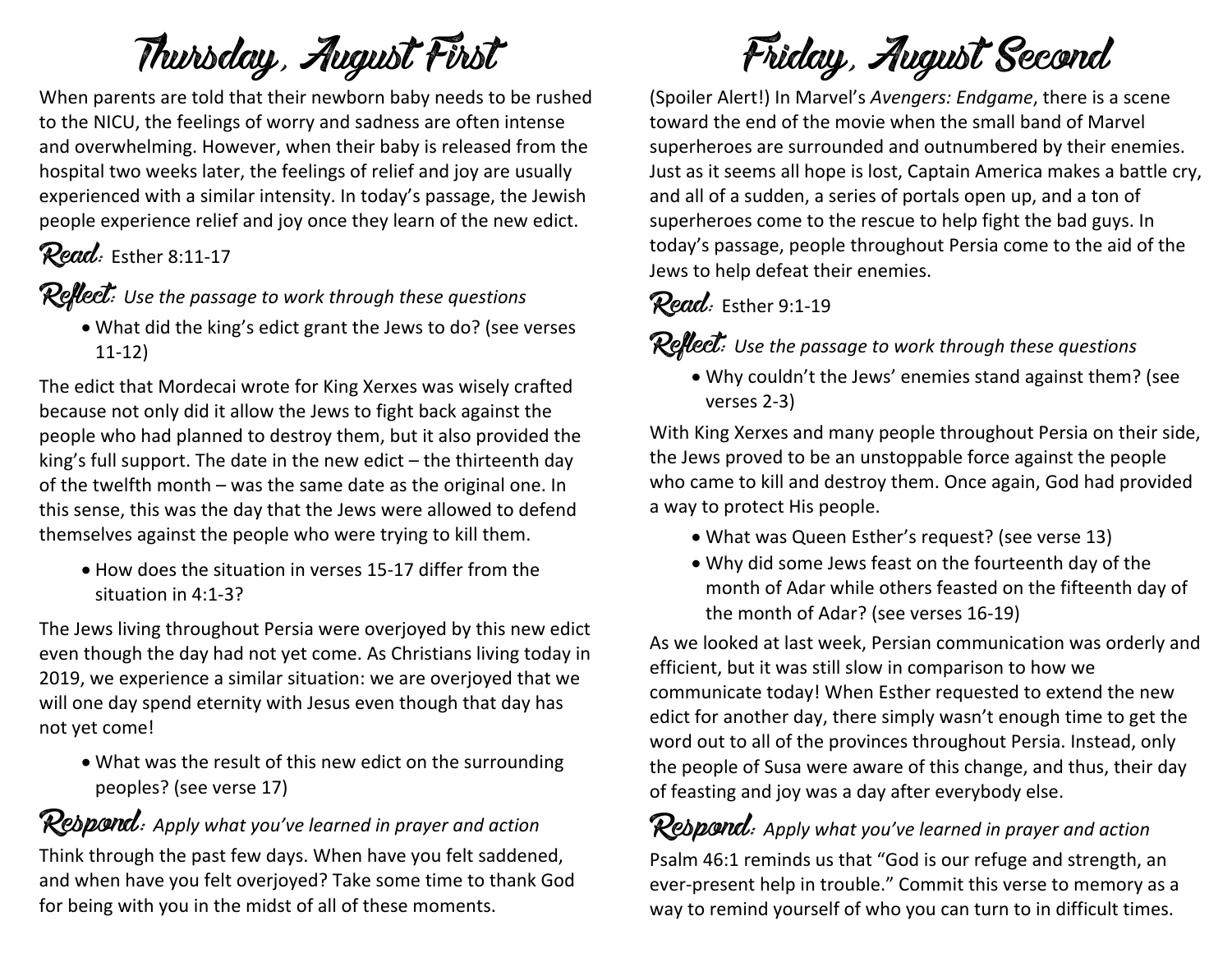# Thursday, August First

When parents are told that their newborn baby needs to be rushed to the NICU, the feelings of worry and sadness are often intense and overwhelming. However, when their baby is released from the hospital two weeks later, the feelings of relief and joy are usually experienced with a similar intensity. In today's passage, the Jewish people experience relief and joy once they learn of the new edict.

### Read: Esther 8:11-17

Reflect: *Use the passage to work through these questions*

• What did the king's edict grant the Jews to do? (see verses 11-12)

The edict that Mordecai wrote for King Xerxes was wisely crafted because not only did it allow the Jews to fight back against the people who had planned to destroy them, but it also provided the king's full support. The date in the new edict – the thirteenth day of the twelfth month – was the same date as the original one. In this sense, this was the day that the Jews were allowed to defend themselves against the people who were trying to kill them.

• How does the situation in verses 15-17 differ from the situation in 4:1-3?

The Jews living throughout Persia were overjoyed by this new edict even though the day had not yet come. As Christians living today in 2019, we experience a similar situation: we are overjoyed that we will one day spend eternity with Jesus even though that day has not yet come!

• What was the result of this new edict on the surrounding peoples? (see verse 17)

### Respond: *Apply what you've learned in prayer and action*

Think through the past few days. When have you felt saddened, and when have you felt overjoyed? Take some time to thank God for being with you in the midst of all of these moments.

Friday, August Second

(Spoiler Alert!) In Marvel's *Avengers: Endgame*, there is a scene toward the end of the movie when the small band of Marvel superheroes are surrounded and outnumbered by their enemies. Just as it seems all hope is lost, Captain America makes a battle cry, and all of a sudden, a series of portals open up, and a ton of superheroes come to the rescue to help fight the bad guys. In today's passage, people throughout Persia come to the aid of the Jews to help defeat their enemies.

### Read: Esther 9:1-19

Reflect: *Use the passage to work through these questions*

• Why couldn't the Jews' enemies stand against them? (see verses 2-3)

With King Xerxes and many people throughout Persia on their side, the Jews proved to be an unstoppable force against the people who came to kill and destroy them. Once again, God had provided a way to protect His people.

- What was Queen Esther's request? (see verse 13)
- Why did some Jews feast on the fourteenth day of the month of Adar while others feasted on the fifteenth day of the month of Adar? (see verses 16-19)

As we looked at last week, Persian communication was orderly and efficient, but it was still slow in comparison to how we communicate today! When Esther requested to extend the new edict for another day, there simply wasn't enough time to get the word out to all of the provinces throughout Persia. Instead, only the people of Susa were aware of this change, and thus, their day of feasting and joy was a day after everybody else.

Respond: *Apply what you've learned in prayer and action* Psalm 46:1 reminds us that "God is our refuge and strength, an ever-present help in trouble." Commit this verse to memory as a way to remind yourself of who you can turn to in difficult times.